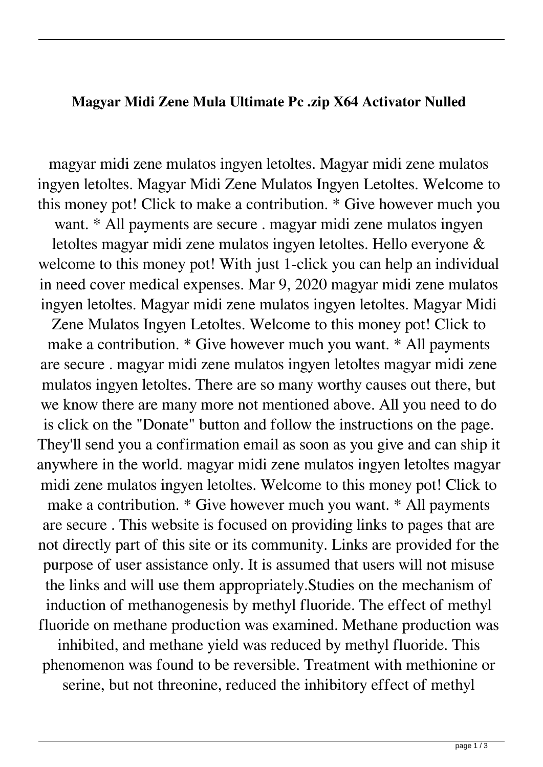## **Magyar Midi Zene Mula Ultimate Pc .zip X64 Activator Nulled**

magyar midi zene mulatos ingyen letoltes. Magyar midi zene mulatos ingyen letoltes. Magyar Midi Zene Mulatos Ingyen Letoltes. Welcome to this money pot! Click to make a contribution. \* Give however much you want. \* All payments are secure . magyar midi zene mulatos ingyen letoltes magyar midi zene mulatos ingyen letoltes. Hello everyone & welcome to this money pot! With just 1-click you can help an individual in need cover medical expenses. Mar 9, 2020 magyar midi zene mulatos ingyen letoltes. Magyar midi zene mulatos ingyen letoltes. Magyar Midi

Zene Mulatos Ingyen Letoltes. Welcome to this money pot! Click to make a contribution. \* Give however much you want. \* All payments are secure . magyar midi zene mulatos ingyen letoltes magyar midi zene mulatos ingyen letoltes. There are so many worthy causes out there, but we know there are many more not mentioned above. All you need to do is click on the "Donate" button and follow the instructions on the page. They'll send you a confirmation email as soon as you give and can ship it anywhere in the world. magyar midi zene mulatos ingyen letoltes magyar midi zene mulatos ingyen letoltes. Welcome to this money pot! Click to make a contribution. \* Give however much you want. \* All payments are secure . This website is focused on providing links to pages that are not directly part of this site or its community. Links are provided for the purpose of user assistance only. It is assumed that users will not misuse the links and will use them appropriately.Studies on the mechanism of induction of methanogenesis by methyl fluoride. The effect of methyl fluoride on methane production was examined. Methane production was inhibited, and methane yield was reduced by methyl fluoride. This phenomenon was found to be reversible. Treatment with methionine or serine, but not threonine, reduced the inhibitory effect of methyl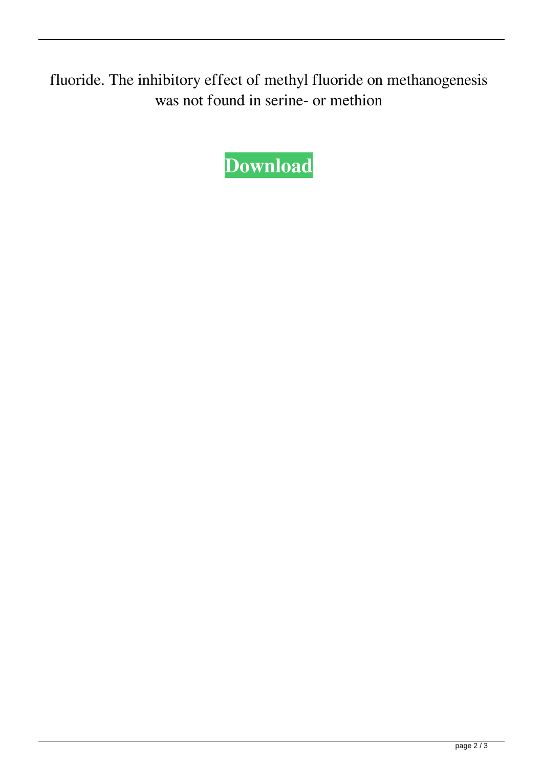fluoride. The inhibitory effect of methyl fluoride on methanogenesis was not found in serine- or methion